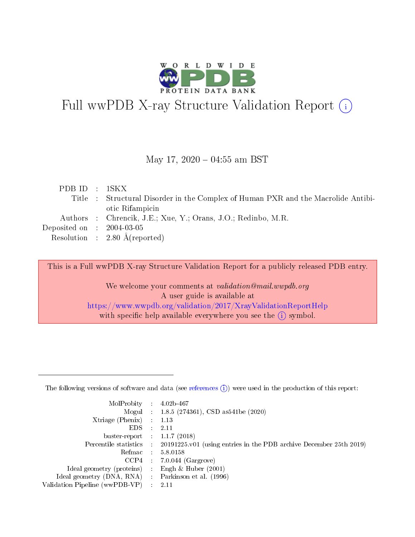

# Full wwPDB X-ray Structure Validation Report (i)

#### May 17,  $2020 - 04:55$  am BST

| PDBID : 1SKX                         |                                                                                   |
|--------------------------------------|-----------------------------------------------------------------------------------|
|                                      | Title : Structural Disorder in the Complex of Human PXR and the Macrolide Antibi- |
|                                      | otic Rifampicin                                                                   |
|                                      | Authors : Chrencik, J.E.; Xue, Y.; Orans, J.O.; Redinbo, M.R.                     |
| Deposited on $\therefore$ 2004-03-05 |                                                                                   |
|                                      | Resolution : $2.80 \text{ Å}$ (reported)                                          |

This is a Full wwPDB X-ray Structure Validation Report for a publicly released PDB entry.

We welcome your comments at validation@mail.wwpdb.org A user guide is available at <https://www.wwpdb.org/validation/2017/XrayValidationReportHelp> with specific help available everywhere you see the  $(i)$  symbol.

The following versions of software and data (see [references](https://www.wwpdb.org/validation/2017/XrayValidationReportHelp#references)  $(1)$ ) were used in the production of this report:

| MolProbity :                   |               | $4.02b - 467$                                                               |
|--------------------------------|---------------|-----------------------------------------------------------------------------|
|                                |               | Mogul : $1.8.5$ (274361), CSD as 541be (2020)                               |
| Xtriage (Phenix)               | $\mathcal{L}$ | 1.13                                                                        |
| EDS.                           |               | 2.11                                                                        |
| buster-report : $1.1.7$ (2018) |               |                                                                             |
| Percentile statistics :        |               | $20191225 \text{v}01$ (using entries in the PDB archive December 25th 2019) |
| Refmac :                       |               | 5.8.0158                                                                    |
| CCP4                           |               | $7.0.044$ (Gargrove)                                                        |
| Ideal geometry (proteins) :    |               | Engh $\&$ Huber (2001)                                                      |
| Ideal geometry (DNA, RNA) :    |               | Parkinson et al. (1996)                                                     |
| Validation Pipeline (wwPDB-VP) | $\mathcal{L}$ | 2.11                                                                        |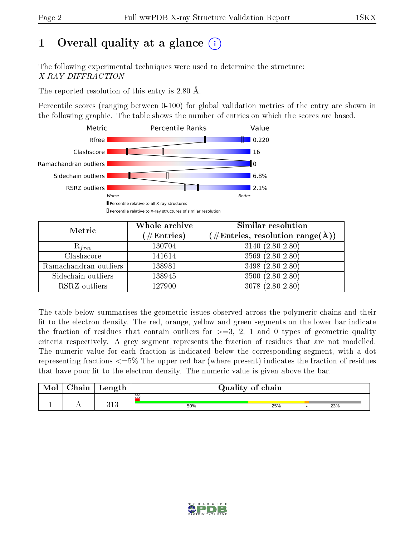# 1 [O](https://www.wwpdb.org/validation/2017/XrayValidationReportHelp#overall_quality)verall quality at a glance  $(i)$

The following experimental techniques were used to determine the structure: X-RAY DIFFRACTION

The reported resolution of this entry is 2.80 Å.

Percentile scores (ranging between 0-100) for global validation metrics of the entry are shown in the following graphic. The table shows the number of entries on which the scores are based.



| Metric                | Whole archive<br>$(\#\mathrm{Entries})$ | Similar resolution<br>$(\#\text{Entries},\, \text{resolution}\; \text{range}(\textup{\AA}))$ |  |  |
|-----------------------|-----------------------------------------|----------------------------------------------------------------------------------------------|--|--|
| $R_{free}$            | 130704                                  | $3140 (2.80 - 2.80)$                                                                         |  |  |
| Clashscore            | 141614                                  | $3569(2.80-2.80)$                                                                            |  |  |
| Ramachandran outliers | 138981                                  | 3498 (2.80-2.80)                                                                             |  |  |
| Sidechain outliers    | 138945                                  | $3500(2.80-2.80)$                                                                            |  |  |
| RSRZ outliers         | 127900                                  | $3078(2.80-2.80)$                                                                            |  |  |

The table below summarises the geometric issues observed across the polymeric chains and their fit to the electron density. The red, orange, yellow and green segments on the lower bar indicate the fraction of residues that contain outliers for  $>=3, 2, 1$  and 0 types of geometric quality criteria respectively. A grey segment represents the fraction of residues that are not modelled. The numeric value for each fraction is indicated below the corresponding segment, with a dot representing fractions  $\epsilon=5\%$  The upper red bar (where present) indicates the fraction of residues that have poor fit to the electron density. The numeric value is given above the bar.

| Mol | $\gamma$ hain | Length       |       | Quality of chain |     |
|-----|---------------|--------------|-------|------------------|-----|
|     |               |              | $2\%$ |                  |     |
| л.  | . .           | 919<br>0 T Q | 50%   | 25%              | 23% |

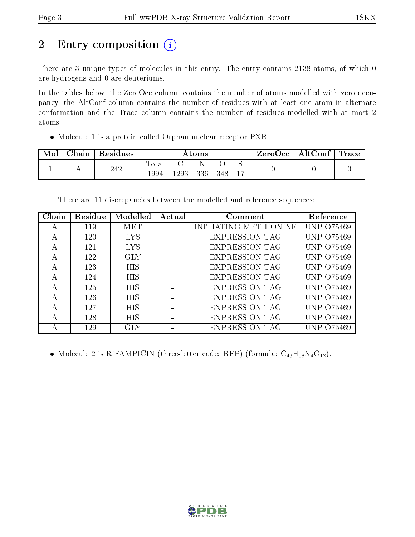# 2 Entry composition (i)

There are 3 unique types of molecules in this entry. The entry contains 2138 atoms, of which 0 are hydrogens and 0 are deuteriums.

In the tables below, the ZeroOcc column contains the number of atoms modelled with zero occupancy, the AltConf column contains the number of residues with at least one atom in alternate conformation and the Trace column contains the number of residues modelled with at most 2 atoms.

Molecule 1 is a protein called Orphan nuclear receptor PXR.

| Mol | Chain | Residues | Atoms         |      |     |     |    | $\mid$ ZeroOcc $\mid$ AltConf $\mid$ | Trace |
|-----|-------|----------|---------------|------|-----|-----|----|--------------------------------------|-------|
|     |       | 242      | Totar<br>1994 | 1293 | 336 | 348 | 17 |                                      |       |

There are 11 discrepancies between the modelled and reference sequences:

| Chain          | Residue | Modelled   | Actual | Comment               | Reference         |
|----------------|---------|------------|--------|-----------------------|-------------------|
| $\overline{A}$ | 119     | <b>MET</b> |        | INITIATING METHIONINE | <b>UNP 075469</b> |
| А              | 120     | <b>LYS</b> |        | <b>EXPRESSION TAG</b> | <b>UNP 075469</b> |
| А              | 121     | <b>LYS</b> |        | <b>EXPRESSION TAG</b> | <b>UNP 075469</b> |
| А              | 122     | <b>GLY</b> |        | <b>EXPRESSION TAG</b> | UNP 075469        |
| А              | 123     | <b>HIS</b> |        | <b>EXPRESSION TAG</b> | UNP 075469        |
| $\mathsf{A}$   | 124     | <b>HIS</b> |        | <b>EXPRESSION TAG</b> | UNP 075469        |
| А              | 125     | <b>HIS</b> |        | <b>EXPRESSION TAG</b> | UNP 075469        |
| А              | 126     | <b>HIS</b> |        | <b>EXPRESSION TAG</b> | UNP 075469        |
| А              | 127     | <b>HIS</b> |        | <b>EXPRESSION TAG</b> | UNP 075469        |
| А              | 128     | <b>HIS</b> |        | <b>EXPRESSION TAG</b> | UNP 075469        |
|                | 129     | GLY        |        | <b>EXPRESSION TAG</b> | UNP<br>O75469     |

• Molecule 2 is RIFAMPICIN (three-letter code: RFP) (formula:  $C_{43}H_{58}N_4O_{12}$ ).

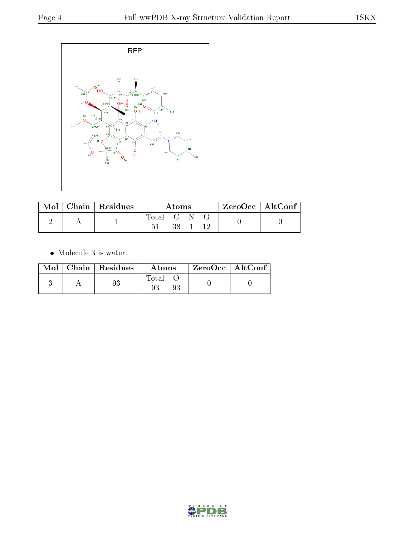

| Mol | $\mid$ Chain $\mid$ Residues | Atoms     |     |  |  | $ZeroOcc   AltConf$ . |
|-----|------------------------------|-----------|-----|--|--|-----------------------|
|     |                              | Total C N | 38. |  |  |                       |

• Molecule 3 is water.

|  | $Mol$   Chain   Residues | Atoms | $ZeroOcc \mid AltConf \mid$ |
|--|--------------------------|-------|-----------------------------|
|  | 93                       | Total |                             |

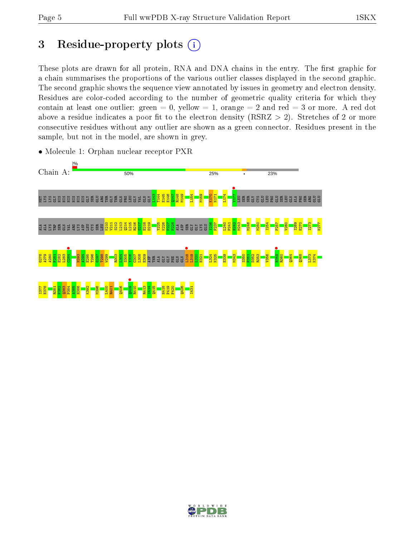## 3 Residue-property plots  $(i)$

These plots are drawn for all protein, RNA and DNA chains in the entry. The first graphic for a chain summarises the proportions of the various outlier classes displayed in the second graphic. The second graphic shows the sequence view annotated by issues in geometry and electron density. Residues are color-coded according to the number of geometric quality criteria for which they contain at least one outlier: green  $= 0$ , yellow  $= 1$ , orange  $= 2$  and red  $= 3$  or more. A red dot above a residue indicates a poor fit to the electron density (RSRZ  $> 2$ ). Stretches of 2 or more consecutive residues without any outlier are shown as a green connector. Residues present in the sample, but not in the model, are shown in grey.



• Molecule 1: Orphan nuclear receptor PXR

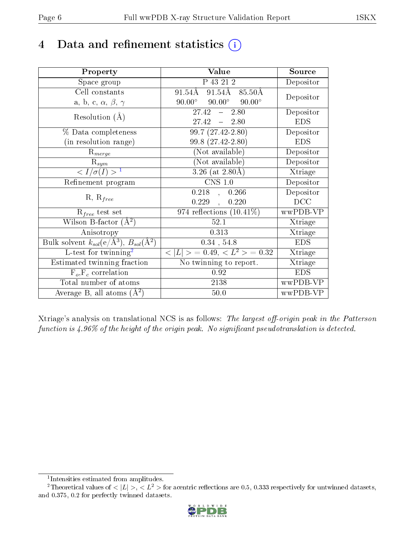## 4 Data and refinement statistics  $(i)$

| Property                                                         | Value                                             | Source     |
|------------------------------------------------------------------|---------------------------------------------------|------------|
| Space group                                                      | P 43 21 2                                         | Depositor  |
| Cell constants                                                   | $91.54\AA$ 85.50Å<br>$91.54\text{\AA}$            | Depositor  |
| a, b, c, $\alpha$ , $\beta$ , $\gamma$                           | $90.00^\circ$<br>$90.00^{\circ}$<br>$90.00^\circ$ |            |
| Resolution $(A)$                                                 | 2.80<br>27.42<br>$\frac{1}{2}$                    | Depositor  |
|                                                                  | $27.42 - 2.80$                                    | <b>EDS</b> |
| % Data completeness                                              | $99.7(27.42 - 2.80)$                              | Depositor  |
| (in resolution range)                                            | 99.8 (27.42-2.80)                                 | <b>EDS</b> |
| $R_{merge}$                                                      | (Not available)                                   | Depositor  |
| $\mathrm{R}_{sym}$                                               | $(Not\ avariable)$                                | Depositor  |
| $\langle I/\sigma(I) \rangle^{-1}$                               | $3.26$ (at $2.80\text{\AA}$ )                     | Xtriage    |
| Refinement program                                               | $\overline{\text{CNS} 1.0}$                       | Depositor  |
|                                                                  | $0.218$ , $0.266$                                 | Depositor  |
| $R, R_{free}$                                                    | $0.229$ ,<br>0.220                                | DCC        |
| $R_{free}$ test set                                              | 974 reflections $(10.41\%)$                       | wwPDB-VP   |
| Wilson B-factor $(A^2)$                                          | 52.1                                              | Xtriage    |
| Anisotropy                                                       | 0.313                                             | Xtriage    |
| Bulk solvent $k_{sol}(\text{e}/\text{A}^3), B_{sol}(\text{A}^2)$ | $0.34$ , 54.8                                     | <b>EDS</b> |
| L-test for $\mathrm{twinning}^2$                                 | $< L >$ = 0.49, $< L^2 >$ = 0.32                  | Xtriage    |
| Estimated twinning fraction                                      | No twinning to report.                            | Xtriage    |
| $F_o, F_c$ correlation                                           | 0.92                                              | <b>EDS</b> |
| Total number of atoms                                            | 2138                                              | wwPDB-VP   |
| Average B, all atoms $(A^2)$                                     | 50.0                                              | wwPDB-VP   |

Xtriage's analysis on translational NCS is as follows: The largest off-origin peak in the Patterson function is  $4.96\%$  of the height of the origin peak. No significant pseudotranslation is detected.

<sup>&</sup>lt;sup>2</sup>Theoretical values of  $\langle |L| \rangle$ ,  $\langle L^2 \rangle$  for acentric reflections are 0.5, 0.333 respectively for untwinned datasets, and 0.375, 0.2 for perfectly twinned datasets.



<span id="page-5-1"></span><span id="page-5-0"></span><sup>1</sup> Intensities estimated from amplitudes.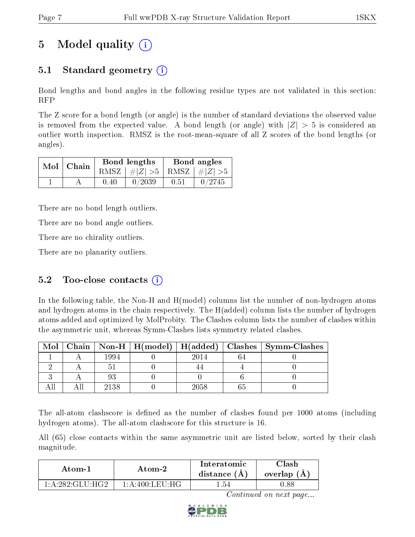# 5 Model quality  $(i)$

## 5.1 Standard geometry (i)

Bond lengths and bond angles in the following residue types are not validated in this section: RFP

The Z score for a bond length (or angle) is the number of standard deviations the observed value is removed from the expected value. A bond length (or angle) with  $|Z| > 5$  is considered an outlier worth inspection. RMSZ is the root-mean-square of all Z scores of the bond lengths (or angles).

|  | $Mol$   Chain |      | Bond lengths                    | Bond angles |        |  |
|--|---------------|------|---------------------------------|-------------|--------|--|
|  |               |      | RMSZ $ #Z  > 5$ RMSZ $ #Z  > 5$ |             |        |  |
|  |               | 0.40 | 0/2039                          | 0.51        | 0/2745 |  |

There are no bond length outliers.

There are no bond angle outliers.

There are no chirality outliers.

There are no planarity outliers.

### 5.2 Too-close contacts  $(i)$

In the following table, the Non-H and H(model) columns list the number of non-hydrogen atoms and hydrogen atoms in the chain respectively. The H(added) column lists the number of hydrogen atoms added and optimized by MolProbity. The Clashes column lists the number of clashes within the asymmetric unit, whereas Symm-Clashes lists symmetry related clashes.

| Mol |      |      | Chain   Non-H   H(model)   H(added)   Clashes   Symm-Clashes |
|-----|------|------|--------------------------------------------------------------|
|     | 1994 | 2014 |                                                              |
|     |      |      |                                                              |
|     |      |      |                                                              |
|     | 2138 | 2058 |                                                              |

The all-atom clashscore is defined as the number of clashes found per 1000 atoms (including hydrogen atoms). The all-atom clashscore for this structure is 16.

All (65) close contacts within the same asymmetric unit are listed below, sorted by their clash magnitude.

| Atom-2          |                                                   | Interatomic    | Clash         |
|-----------------|---------------------------------------------------|----------------|---------------|
| Atom-1          |                                                   | distance $(A)$ | overlap $(A)$ |
| 1 A 282 CLU HC2 | $1 \cdot A \cdot 400 \cdot I \cdot EII \cdot HGI$ | - 54           |               |

Continued on next page...

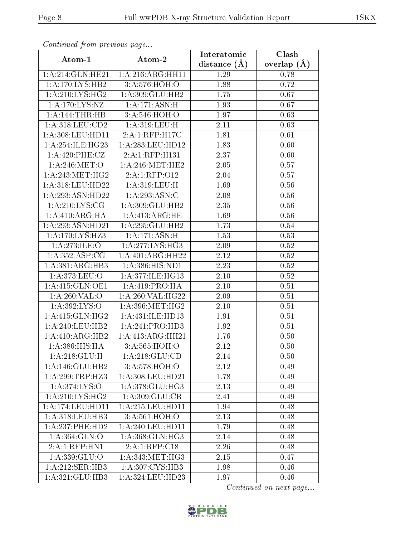| Commaca from previous page          |                    | Interatomic    | Clash         |
|-------------------------------------|--------------------|----------------|---------------|
| Atom-1                              | Atom-2             | distance $(A)$ | overlap $(A)$ |
| 1:A:214:GLN:HE21                    | 1:A:216:ARG:HH11   | 1.29           | 0.78          |
| 1:A:170:LYS:HB2                     | 3:A:576:HOH:O      | 1.88           | 0.72          |
| 1: A:210: LYS: HG2                  | 1: A:309: GLU:HB2  | 1.75           | 0.67          |
| 1: A:170: LYS: NZ                   | 1:A:171:ASN:H      | 1.93           | 0.67          |
| 1: A:144:THR:HB                     | 3:A:546:HOH:O      | 1.97           | 0.63          |
| 1: A:318: LEU:CD2                   | 1:A:319:LEU:H      | 2.11           | 0.63          |
| 1:A:308:LEU:HD11                    | 2:A:1:RFP:H17C     | 1.81           | 0.61          |
| 1:A:254:ILE:HG23                    | 1: A:283:LEU:HD12  | 1.83           | 0.60          |
| 1:A:420:PHE:CZ                      | 2:A:1:RFP:H131     | 2.37           | 0.60          |
| 1: A:246: MET:O                     | 1: A:246:MET:HE2   | 2.05           | 0.57          |
| 1: A:243:MET:HG2                    | 2:A:1:RFP:012      | 2.04           | 0.57          |
| 1:A:318:LEU:HD22                    | 1:A:319:LEU:H      | 1.69           | 0.56          |
| 1:A:293:ASN:HD22                    | 1:A:293:ASN:C      | 2.08           | 0.56          |
| 1: A:210: LYS: CG                   | 1:A:309:GLU:HB2    | 2.35           | 0.56          |
| 1:A:410:ARG:HA                      | 1: A:413:ARG:HE    | 1.69           | 0.56          |
| 1:A:293:ASN:HD21                    | 1:A:295:GLU:HB2    | 1.73           | 0.54          |
| 1:A:170:LYS:HZ3                     | 1: A:171: ASN:H    | 1.53           | 0.53          |
| 1: A:273: ILE: O                    | 1: A:277: LYS: HG3 | 2.09           | 0.52          |
| 1:A:352:ASP:CG                      | 1:A:401:ARG:HH22   | 2.12           | 0.52          |
| 1: A: 381: ARG: HB3                 | 1:A:386:HIS:ND1    | 2.23           | 0.52          |
| 1:A:373:LEU:O                       | 1:A:377:ILE:HG13   | 2.10           | 0.52          |
| 1: A:415: GLN:OE1                   | 1: A:419: PRO:HA   | 2.10           | 0.51          |
| 1:A:260:VAL:O                       | 1:A:260:VAL:HG22   | 2.09           | 0.51          |
| 1: A:392: LYS:O                     | 1: A:396:MET:HG2   | 2.10           | 0.51          |
| 1: A:415: GLN: HG2                  | 1:A:431:ILE:HD13   | 1.91           | 0.51          |
| 1:A:240:LEU:HB2                     | 1: A:241: PRO:HD3  | 1.92           | 0.51          |
| 1:A:410:ARG:HB2                     | 1:A:413:ARG:HH21   | 1.76           | 0.50          |
| 1: A: 386: HIS: HA                  | 3:A:565:HOH:O      | 2.12           | 0.50          |
| 1:A:218:GLU:H                       | 1: A:218: GLU:CD   | 2.14           | 0.50          |
| 1: A:146: GLU:HB2                   | 3:A:578:HOH:O      | 2.12           | 0.49          |
| 1:A:299:TRP:HZ3                     | 1:A:308:LEU:HD21   | 1.78           | 0.49          |
| 1: A:374: LYS:O                     | 1: A:378: GLU:HG3  | 2.13           | 0.49          |
| $1:A:210:\overline{\text{LYS:HG2}}$ | 1: A: 309: GLU: CB | 2.41           | 0.49          |
| 1:A:174:LEU:HD11                    | 1: A:215:LEU:HD11  | 1.94           | 0.48          |
| 1:A:318:LEU:HB3                     | 3:A:561:HOH:O      | 2.13           | 0.48          |
| 1:A:237:PHE:HD2                     | 1: A:240:LEU:HD11  | 1.79           | 0.48          |
| 1:A:364:GLN:O                       | 1: A:368: GLN: HG3 | 2.14           | 0.48          |
| 2:A:1:RFP:HN1                       | 2:A:1:RFP:C18      | 2.26           | 0.48          |
| 1:A:339:GLU:O                       | 1: A:343:MET:HG3   | 2.15           | 0.47          |
| 1:A:212:SER:HB3                     | 1:A:307:CYS:HB3    | 1.98           | 0.46          |
| 1:A:321:GLU:HB3                     | 1:A:324:LEU:HD23   | 1.97           | 0.46          |

Continued from previous page.

Continued on next page...

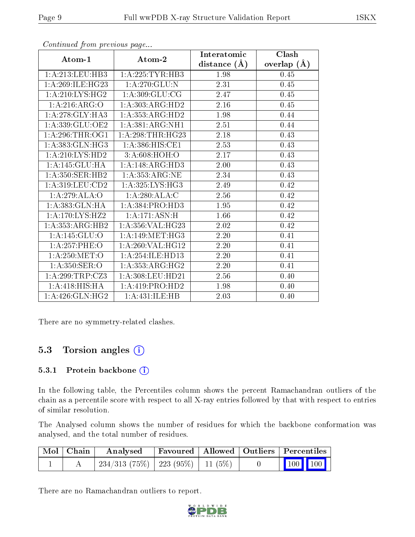|                     |                               | Interatomic    | Clash         |
|---------------------|-------------------------------|----------------|---------------|
| Atom-1              | Atom-2                        | distance $(A)$ | overlap $(A)$ |
| 1:A:213:LEU:HB3     | 1: A:225:TYR:HB3              | 1.98           | 0.45          |
| 1: A:269: ILE: HG23 | 1:A:270:GLU:N                 | 2.31           | 0.45          |
| 1:A:210:LYS:HG2     | 1:A:309:GLU:CG                | 2.47           | 0.45          |
| 1:A:216:ARG:O       | 1:A:303:ARG:HD2               | 2.16           | 0.45          |
| 1:A:278:GLY:HA3     | 1:A:353:ARG:HD2               | 1.98           | 0.44          |
| 1:A:339:GLU:OE2     | 1: A: 381: ARG: NH1           | 2.51           | 0.44          |
| 1: A:296:THR:OG1    | 1: A:298:THR:HG23             | 2.18           | 0.43          |
| 1:A:383:GLN:HG3     | 1:A:386:HIS:CE1               | 2.53           | 0.43          |
| 1: A:210: LYS: HD2  | 3: A:608:HOH:O                | 2.17           | 0.43          |
| 1:A:145:GLU:HA      | 1:A:148:ARG:HD3               | 2.00           | 0.43          |
| 1:A:350:SER:HB2     | 1: A: 353: ARG: NE            | 2.34           | 0.43          |
| 1: A:319: LEU:CD2   | 1: A:325: LYS:HG3             | 2.49           | 0.42          |
| 1:A:279:ALA:O       | 1:A:280:ALA:C                 | 2.56           | 0.42          |
| 1: A: 383: GLN: HA  | $1:A:384: \overline{PRO:HD3}$ | 1.95           | 0.42          |
| 1:A:170:LYS:HZ2     | 1:A:171:ASN:H                 | 1.66           | 0.42          |
| 1:A:353:ARG:HB2     | 1:A:356:VAL:HG23              | 2.02           | 0.42          |
| 1: A:145: GLU:O     | 1: A:149:MET:HG3              | 2.20           | 0.41          |
| 1:A:257:PHE:O       | 1: A:260: VAL:HG12            | 2.20           | 0.41          |
| 1: A:250:MET:O      | 1: A:254: ILE: HD13           | 2.20           | 0.41          |
| 1: A:350: SER:O     | 1: A: 353: ARG: HG2           | 2.20           | 0.41          |
| 1: A:299:TRP: CZ3   | 1:A:308:LEU:HD21              | 2.56           | 0.40          |
| 1:A:418:HIS:HA      | 1: A:419: PRO:HD2             | 1.98           | 0.40          |
| 1: A:426: GLN: HG2  | 1:A:431:ILE:HB                | 2.03           | 0.40          |

Continued from previous page...

There are no symmetry-related clashes.

### 5.3 Torsion angles  $(i)$

#### 5.3.1 Protein backbone (i)

In the following table, the Percentiles column shows the percent Ramachandran outliers of the chain as a percentile score with respect to all X-ray entries followed by that with respect to entries of similar resolution.

The Analysed column shows the number of residues for which the backbone conformation was analysed, and the total number of residues.

| $\mid$ Mol $\mid$ Chain $\mid$ | $\boldsymbol{\mathrm{Analysed}}$         |  | Favoured   Allowed   Outliers   Percentiles |
|--------------------------------|------------------------------------------|--|---------------------------------------------|
|                                | $234/313$ (75\%)   223 (95\%)   11 (5\%) |  | $\vert$ 100 100 $\vert$                     |

There are no Ramachandran outliers to report.

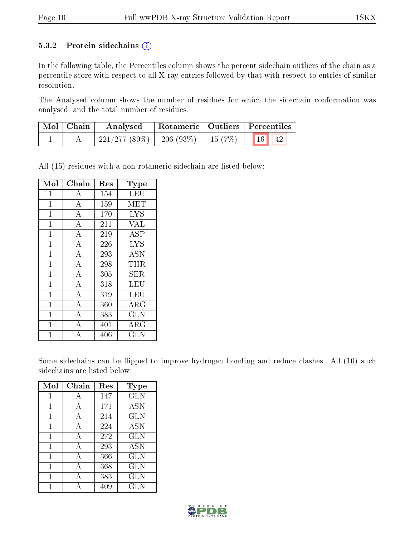#### 5.3.2 Protein sidechains  $(i)$

In the following table, the Percentiles column shows the percent sidechain outliers of the chain as a percentile score with respect to all X-ray entries followed by that with respect to entries of similar resolution.

The Analysed column shows the number of residues for which the sidechain conformation was analysed, and the total number of residues.

| $\mid$ Mol $\mid$ Chain | Analysed                                             | Rotameric   Outliers   Percentiles |  |  |
|-------------------------|------------------------------------------------------|------------------------------------|--|--|
|                         | $\mid$ 221/277 (80%)   206 (93%)   15 (7%)   16   42 |                                    |  |  |

All (15) residues with a non-rotameric sidechain are listed below:

| Mol            | Chain              | Res | Type                       |
|----------------|--------------------|-----|----------------------------|
| $\mathbf{1}$   | A                  | 154 | LEU                        |
| $\mathbf{1}$   | $\overline{\rm A}$ | 159 | MET                        |
| $\mathbf{1}$   | $\overline{A}$     | 170 | <b>LYS</b>                 |
| $\mathbf{1}$   | $\boldsymbol{A}$   | 211 | <b>VAL</b>                 |
| $\overline{1}$ | $\overline{\rm A}$ | 219 | <b>ASP</b>                 |
| $\mathbf{1}$   | $\overline{\rm A}$ | 226 | <b>LYS</b>                 |
| $\mathbf{1}$   | $\overline{\rm A}$ | 293 | <b>ASN</b>                 |
| $\mathbf{1}$   | $\overline{A}$     | 298 | THR                        |
| $\mathbf{1}$   | $\overline{\rm A}$ | 305 | SER                        |
| $\mathbf{1}$   | $\overline{A}$     | 318 | LEU                        |
| $\mathbf{1}$   | $\overline{A}$     | 319 | LEU                        |
| $\overline{1}$ | $\overline{\rm A}$ | 360 | $\overline{\rm A}{\rm RG}$ |
| $\mathbf 1$    | $\boldsymbol{A}$   | 383 | <b>GLN</b>                 |
| $\mathbf{1}$   | A                  | 401 | $\rm \overline{A}RG$       |
| 1              | $\overline{\rm A}$ | 406 | $_{\rm GLN}$               |

Some sidechains can be flipped to improve hydrogen bonding and reduce clashes. All (10) such sidechains are listed below:

| Mol | Chain | Res | Type       |
|-----|-------|-----|------------|
|     | A     | 147 | <b>GLN</b> |
| 1   | А     | 171 | <b>ASN</b> |
| 1   | А     | 214 | <b>GLN</b> |
| 1   | А     | 224 | <b>ASN</b> |
| 1   | A     | 272 | <b>GLN</b> |
| 1   | A     | 293 | <b>ASN</b> |
| 1   | А     | 366 | GLN        |
| 1   | А     | 368 | <b>GLN</b> |
| 1   | А     | 383 | <b>GLN</b> |
|     |       | 409 | GLN        |

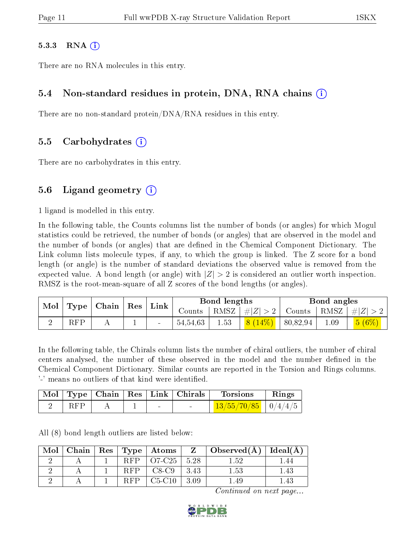#### $5.3.3$  RNA  $(i)$

There are no RNA molecules in this entry.

#### 5.4 Non-standard residues in protein, DNA, RNA chains (i)

There are no non-standard protein/DNA/RNA residues in this entry.

#### 5.5 Carbohydrates (i)

There are no carbohydrates in this entry.

### 5.6 Ligand geometry  $(i)$

1 ligand is modelled in this entry.

In the following table, the Counts columns list the number of bonds (or angles) for which Mogul statistics could be retrieved, the number of bonds (or angles) that are observed in the model and the number of bonds (or angles) that are defined in the Chemical Component Dictionary. The Link column lists molecule types, if any, to which the group is linked. The Z score for a bond length (or angle) is the number of standard deviations the observed value is removed from the expected value. A bond length (or angle) with  $|Z| > 2$  is considered an outlier worth inspection. RMSZ is the root-mean-square of all Z scores of the bond lengths (or angles).

| Mol |            | Type   Chain   Res | Link |                       | Bond lengths |           |          | Bond angles |                                      |
|-----|------------|--------------------|------|-----------------------|--------------|-----------|----------|-------------|--------------------------------------|
|     |            |                    |      | Counts   RMSZ $\vert$ |              |           |          |             | $ #Z  > 2$ Counts $ RMSZ  /  Z  > 2$ |
|     | <b>RFP</b> |                    |      | 54,54,63              | 1.53         | $8(14\%)$ | 80,82,94 | 1.09        | $5(6\%)$                             |

In the following table, the Chirals column lists the number of chiral outliers, the number of chiral centers analysed, the number of these observed in the model and the number defined in the Chemical Component Dictionary. Similar counts are reported in the Torsion and Rings columns. '-' means no outliers of that kind were identified.

|       |  | Mol   Type   Chain   Res   Link   Chirals | Torsions              | Rings |
|-------|--|-------------------------------------------|-----------------------|-------|
| – RFP |  |                                           | $13/55/70/85$ 0/4/4/5 |       |

All (8) bond length outliers are listed below:

| Mol | ${\bf Chain}$ |            | $Res$   Type   Atoms | $\mathbf{Z}$ | $\overline{\phantom{a}}$ Observed(A) | Ideal $(A)$ |
|-----|---------------|------------|----------------------|--------------|--------------------------------------|-------------|
|     |               | <b>RFP</b> | O7-C25               | 5.28         | 1.52                                 | -44         |
|     |               | <b>RFP</b> | $C8-C9$              | 3.43         | 1.53                                 | .43         |
|     |               | <b>RFP</b> | $C5-C10$             | 3.09         | .49                                  |             |

Continued on next page...

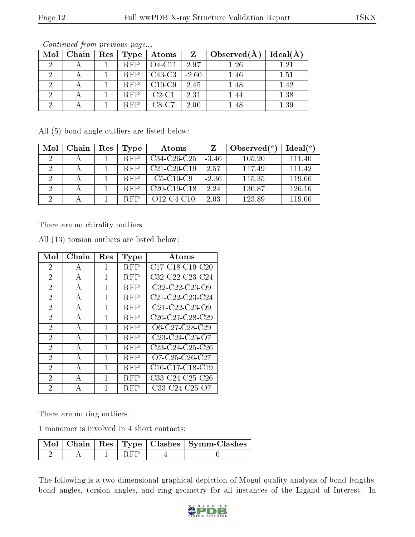| Mol | Chain | Res | Type       | $\boldsymbol{\mathrm{Atoms}}$ |         | Observed(A) | Ideal(A)    |
|-----|-------|-----|------------|-------------------------------|---------|-------------|-------------|
|     |       |     | <b>RFP</b> | $O4-C11$                      | 2.97    | 1.26        | $\sqrt{21}$ |
|     |       |     | <b>RFP</b> | $C43-C3$                      | $-2.60$ | 1.46        | $1.51\,$    |
|     |       |     | <b>RFP</b> | $C10-C9$                      | 2.45    | 1.48        | 1.42        |
|     |       |     | <b>RFP</b> | $C2-C1$                       | 2.31    | 1.44        | 1.38        |
|     |       |     | <b>RFP</b> | $C8-C7$                       | 2.00    | 1.48        | 1.39        |

Continued from previous page...

All (5) bond angle outliers are listed below:

| Mol           | Chain | Res | Type       | Atoms            |         | Observed $\binom{o}{c}$ | Ideal $(°)$ |
|---------------|-------|-----|------------|------------------|---------|-------------------------|-------------|
| $\mathcal{L}$ |       |     | <b>RFP</b> | $C34-C26-C25$    | $-3.46$ | 105.20                  | 111.40      |
| 9             |       |     | <b>RFP</b> | $C21-C20-C19$    | 2.57    | 117.49                  | 111.42      |
| ٠,            |       |     | <b>RFP</b> | $C5-C10-C9$      | $-2.36$ | 115.35                  | 119.66      |
| .,            |       |     | <b>RFP</b> | $C20-C19-C18$    | 2.24    | 130.87                  | 126.16      |
| $\cdot$       |       |     | <b>RFP</b> | $O12 - C4 - C10$ | 2.03    | 123.89                  | 119.00      |

There are no chirality outliers.

| Mol            | $Chain$      | Res | Type       | Atoms                                                              |
|----------------|--------------|-----|------------|--------------------------------------------------------------------|
| 2              | А            | 1   | RFP        | C17-C18-C19-C20                                                    |
| $\mathfrak{D}$ | А            | 1   | RFP        | C32-C22-C23-C24                                                    |
| $\overline{2}$ | А            | 1   | RFP        | C32-C22-C23-O9                                                     |
| $\overline{2}$ | А            | 1   | RFP        | C21-C22-C23-C24                                                    |
| 2              | $\mathbf{A}$ | 1   | <b>RFP</b> | $C21-C22-C23-C9$                                                   |
| $\overline{2}$ | А            | 1   | <b>RFP</b> | C <sub>26</sub> -C <sub>27</sub> -C <sub>28</sub> -C <sub>29</sub> |
| $\overline{2}$ | А            | 1   | <b>RFP</b> | O6-C27-C28-C29                                                     |
| 2              | A            | 1   | <b>RFP</b> | C <sub>23</sub> -C <sub>24</sub> -C <sub>25</sub> -O <sub>7</sub>  |
| $\overline{2}$ | А            | 1   | <b>RFP</b> | $C23-C24-C25-C26$                                                  |
| $\overline{2}$ | А            | 1   | <b>RFP</b> | O7-C25-C26-C27                                                     |
| $\overline{2}$ | A            | 1   | RFP        | C16-C17-C18-C19                                                    |
| 2              | А            | 1   | <b>RFP</b> | C33-C24-C25-C26                                                    |
| $\overline{2}$ | А            | 1   | <b>RFP</b> | C33-C24-C25-O7                                                     |

All (13) torsion outliers are listed below:

There are no ring outliers.

1 monomer is involved in 4 short contacts:

|  |  | Mol   Chain   Res   Type   Clashes   Symm-Clashes |
|--|--|---------------------------------------------------|
|  |  |                                                   |

The following is a two-dimensional graphical depiction of Mogul quality analysis of bond lengths, bond angles, torsion angles, and ring geometry for all instances of the Ligand of Interest. In

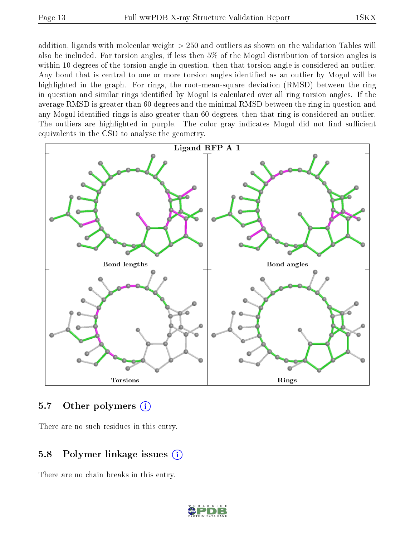addition, ligands with molecular weight > 250 and outliers as shown on the validation Tables will also be included. For torsion angles, if less then 5% of the Mogul distribution of torsion angles is within 10 degrees of the torsion angle in question, then that torsion angle is considered an outlier. Any bond that is central to one or more torsion angles identified as an outlier by Mogul will be highlighted in the graph. For rings, the root-mean-square deviation (RMSD) between the ring in question and similar rings identified by Mogul is calculated over all ring torsion angles. If the average RMSD is greater than 60 degrees and the minimal RMSD between the ring in question and any Mogul-identied rings is also greater than 60 degrees, then that ring is considered an outlier. The outliers are highlighted in purple. The color gray indicates Mogul did not find sufficient equivalents in the CSD to analyse the geometry.



#### 5.7 [O](https://www.wwpdb.org/validation/2017/XrayValidationReportHelp#nonstandard_residues_and_ligands)ther polymers (i)

There are no such residues in this entry.

### 5.8 Polymer linkage issues (i)

There are no chain breaks in this entry.

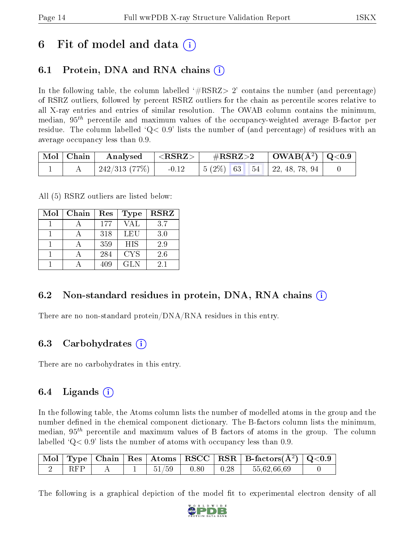## 6 Fit of model and data  $\left( \cdot \right)$

## 6.1 Protein, DNA and RNA chains (i)

In the following table, the column labelled  $#RSRZ>2'$  contains the number (and percentage) of RSRZ outliers, followed by percent RSRZ outliers for the chain as percentile scores relative to all X-ray entries and entries of similar resolution. The OWAB column contains the minimum, median,  $95<sup>th</sup>$  percentile and maximum values of the occupancy-weighted average B-factor per residue. The column labelled  $Q < 0.9$  lists the number of (and percentage) of residues with an average occupancy less than 0.9.

|  | $\begin{array}{ c c c c }\hline \text{Mol} & \text{Chain} & \text{Analysed} & <\text{RSRZ}> \hline \end{array}$ |                                                           |  |
|--|-----------------------------------------------------------------------------------------------------------------|-----------------------------------------------------------|--|
|  |                                                                                                                 | $242/313$ (77\%)   -0.12   5 (2\%) 63 54   22, 48, 78, 94 |  |

All (5) RSRZ outliers are listed below:

| Mol | Chain | Res | Type       | <b>RSRZ</b> |
|-----|-------|-----|------------|-------------|
|     |       | 177 | VAL        | 3.7         |
|     |       | 318 | LEU        | 3.0         |
|     |       | 359 | <b>HIS</b> | 2.9         |
|     |       | 284 | <b>CYS</b> | 2.6         |
|     |       | 409 | GL N       | 2.1         |

### 6.2 Non-standard residues in protein, DNA, RNA chains (i)

There are no non-standard protein/DNA/RNA residues in this entry.

#### 6.3 Carbohydrates (i)

There are no carbohydrates in this entry.

### 6.4 Ligands  $(i)$

In the following table, the Atoms column lists the number of modelled atoms in the group and the number defined in the chemical component dictionary. The B-factors column lists the minimum, median,  $95<sup>th</sup>$  percentile and maximum values of B factors of atoms in the group. The column labelled  $Q< 0.9$ ' lists the number of atoms with occupancy less than 0.9.

|            |  |       |      |      | $\vert$ Mol $\vert$ Type $\vert$ Chain $\vert$ Res $\vert$ Atoms $\vert$ RSCC $\vert$ RSR $\vert$ B-factors(A <sup>2</sup> ) $\vert$ Q<0.9 |  |
|------------|--|-------|------|------|--------------------------------------------------------------------------------------------------------------------------------------------|--|
| <b>RFP</b> |  | 51/59 | 0.80 | 0.28 | 55,62,66,69                                                                                                                                |  |

The following is a graphical depiction of the model fit to experimental electron density of all